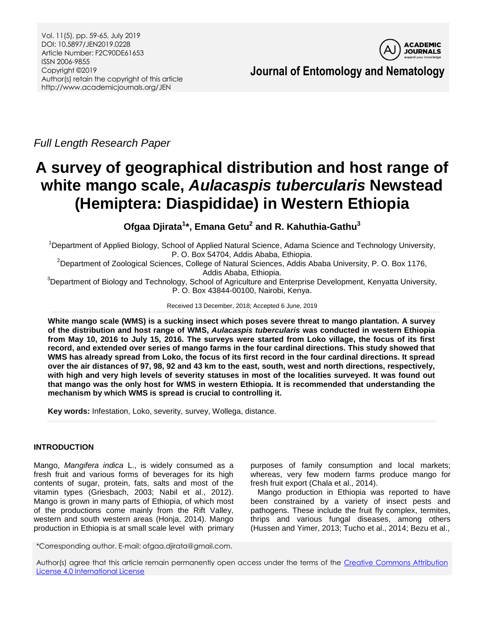

*Full Length Research Paper*

# **A survey of geographical distribution and host range of white mango scale,** *Aulacaspis tubercularis* **Newstead (Hemiptera: Diaspididae) in Western Ethiopia**

**Ofgaa Djirata<sup>1</sup> \*, Emana Getu<sup>2</sup> and R. Kahuthia-Gathu<sup>3</sup>**

<sup>1</sup>Department of Applied Biology, School of Applied Natural Science, Adama Science and Technology University, P. O. Box 54704, Addis Ababa, Ethiopia.

<sup>2</sup>Department of Zoological Sciences, College of Natural Sciences, Addis Ababa University, P. O. Box 1176, Addis Ababa, Ethiopia.

<sup>3</sup>Department of Biology and Technology, School of Agriculture and Enterprise Development, Kenyatta University, P. O. Box 43844-00100, Nairobi, Kenya.

Received 13 December, 2018; Accepted 6 June, 2019

**White mango scale (WMS) is a sucking insect which poses severe threat to mango plantation. A survey of the distribution and host range of WMS,** *Aulacaspis tubercularis* **was conducted in western Ethiopia from May 10, 2016 to July 15, 2016. The surveys were started from Loko village, the focus of its first record, and extended over series of mango farms in the four cardinal directions. This study showed that WMS has already spread from Loko, the focus of its first record in the four cardinal directions. It spread over the air distances of 97, 98, 92 and 43 km to the east, south, west and north directions, respectively, with high and very high levels of severity statuses in most of the localities surveyed. It was found out that mango was the only host for WMS in western Ethiopia. It is recommended that understanding the mechanism by which WMS is spread is crucial to controlling it.**

**Key words:** Infestation, Loko, severity, survey, Wollega, distance.

# **INTRODUCTION**

Mango, *Mangifera indica* L., is widely consumed as a fresh fruit and various forms of beverages for its high contents of sugar, protein, fats, salts and most of the vitamin types (Griesbach, 2003; Nabil et al., 2012). Mango is grown in many parts of Ethiopia, of which most of the productions come mainly from the Rift Valley, western and south western areas (Honja, 2014). Mango production in Ethiopia is at small scale level with primary

purposes of family consumption and local markets; whereas, very few modern farms produce mango for fresh fruit export (Chala et al., 2014).

Mango production in Ethiopia was reported to have been constrained by a variety of insect pests and pathogens. These include the fruit fly complex, termites, thrips and various fungal diseases, among others (Hussen and Yimer, 2013; Tucho et al., 2014; Bezu et al.,

\*Corresponding author. E-mail: ofgaa.djirata@gmail.com.

Author(s) agree that this article remain permanently open access under the terms of the Creative Commons Attribution [License 4.0 International License](http://creativecommons.org/licenses/by/4.0/deed.en_US)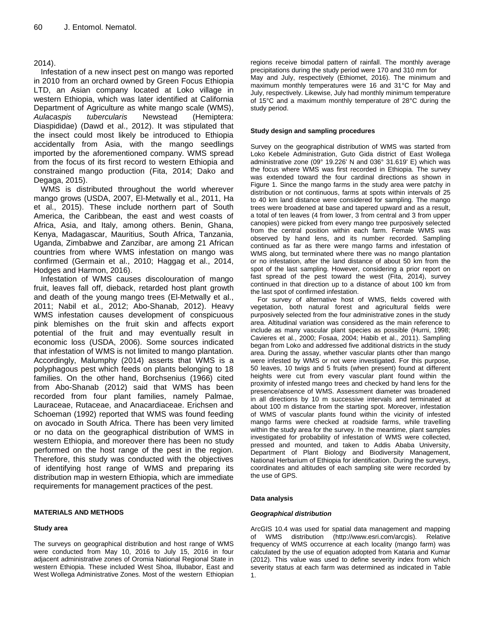## 2014).

Infestation of a new insect pest on mango was reported in 2010 from an orchard owned by Green Focus Ethiopia LTD, an Asian company located at Loko village in western Ethiopia, which was later identified at California Department of Agriculture as white mango scale (WMS), *Aulacaspis tubercularis* Newstead (Hemiptera: Diaspididae) (Dawd et al., 2012). It was stipulated that the insect could most likely be introduced to Ethiopia accidentally from Asia, with the mango seedlings imported by the aforementioned company. WMS spread from the focus of its first record to western Ethiopia and constrained mango production (Fita, 2014; Dako and Degaga, 2015).

WMS is distributed throughout the world wherever mango grows (USDA, 2007, El-Metwally et al., 2011, Ha et al., 2015). These include northern part of South America, the Caribbean, the east and west coasts of Africa, Asia, and Italy, among others. Benin, Ghana, Kenya, Madagascar, Mauritius, South Africa, Tanzania, Uganda, Zimbabwe and Zanzibar, are among 21 African countries from where WMS infestation on mango was confirmed (Germain et al., 2010; Haggag et al., 2014, Hodges and Harmon, 2016).

Infestation of WMS causes discolouration of mango fruit, leaves fall off, dieback, retarded host plant growth and death of the young mango trees (El-Metwally et al., 2011; Nabil et al*.,* 2012; Abo-Shanab, 2012). Heavy WMS infestation causes development of conspicuous pink blemishes on the fruit skin and affects export potential of the fruit and may eventually result in economic loss (USDA, 2006). Some sources indicated that infestation of WMS is not limited to mango plantation. Accordingly, Malumphy (2014) asserts that WMS is a polyphagous pest which feeds on plants belonging to 18 families. On the other hand, Borchsenius (1966) cited from Abo-Shanab (2012) said that WMS has been recorded from four plant families, namely Palmae, Lauraceae, Rutaceae, and Anacardiaceae. Erichsen and Schoeman (1992) reported that WMS was found feeding on avocado in South Africa. There has been very limited or no data on the geographical distribution of WMS in western Ethiopia, and moreover there has been no study performed on the host range of the pest in the region. Therefore, this study was conducted with the objectives of identifying host range of WMS and preparing its distribution map in western Ethiopia, which are immediate requirements for management practices of the pest.

#### **MATERIALS AND METHODS**

#### **Study area**

The surveys on geographical distribution and host range of WMS were conducted from May 10, 2016 to July 15, 2016 in four adjacent administrative zones of Oromia National Regional State in western Ethiopia. These included West Shoa, Illubabor, East and West Wollega Administrative Zones. Most of the western Ethiopian

regions receive bimodal pattern of rainfall. The monthly average precipitations during the study period were 170 and 310 mm for May and July, respectively (Ethiomet, 2016). The minimum and maximum monthly temperatures were 16 and 31°C for May and July, respectively. Likewise, July had monthly minimum temperature of 15°C and a maximum monthly temperature of 28°C during the study period.

#### **Study design and sampling procedures**

Survey on the geographical distribution of WMS was started from Loko Kebele Administration, Guto Gida district of East Wollega administrative zone (09° 19.226' N and 036° 31.619' E) which was the focus where WMS was first recorded in Ethiopia. The survey was extended toward the four cardinal directions as shown in Figure 1. Since the mango farms in the study area were patchy in distribution or not continuous, farms at spots within intervals of 25 to 40 km land distance were considered for sampling. The mango trees were broadened at base and tapered upward and as a result, a total of ten leaves (4 from lower, 3 from central and 3 from upper canopies) were picked from every mango tree purposively selected from the central position within each farm. Female WMS was observed by hand lens, and its number recorded. Sampling continued as far as there were mango farms and infestation of WMS along, but terminated where there was no mango plantation or no infestation, after the land distance of about 50 km from the spot of the last sampling. However, considering a prior report on fast spread of the pest toward the west (Fita, 2014), survey continued in that direction up to a distance of about 100 km from the last spot of confirmed infestation.

For survey of alternative host of WMS, fields covered with vegetation, both natural forest and agricultural fields were purposively selected from the four administrative zones in the study area. Altitudinal variation was considered as the main reference to include as many vascular plant species as possible (Hurni, 1998; Cavieres et al., 2000; Fosaa, 2004; Habib et al., 2011). Sampling began from Loko and addressed five additional districts in the study area. During the assay, whether vascular plants other than mango were infested by WMS or not were investigated. For this purpose, 50 leaves, 10 twigs and 5 fruits (when present) found at different heights were cut from every vascular plant found within the proximity of infested mango trees and checked by hand lens for the presence/absence of WMS. Assessment diameter was broadened in all directions by 10 m successive intervals and terminated at about 100 m distance from the starting spot. Moreover, infestation of WMS of vascular plants found within the vicinity of infested mango farms were checked at roadside farms, while travelling within the study area for the survey. In the meantime, plant samples investigated for probability of infestation of WMS were collected, pressed and mounted, and taken to Addis Ababa University, Department of Plant Biology and Biodiversity Management, National Herbarium of Ethiopia for identification. During the surveys, coordinates and altitudes of each sampling site were recorded by the use of GPS.

#### **Data analysis**

#### *Geographical distribution*

ArcGIS 10.4 was used for spatial data management and mapping of WMS distribution (http://www.esri.com/arcgis). Relative frequency of WMS occurrence at each locality (mango farm) was calculated by the use of equation adopted from Kataria and Kumar (2012). This value was used to define severity index from which severity status at each farm was determined as indicated in Table 1.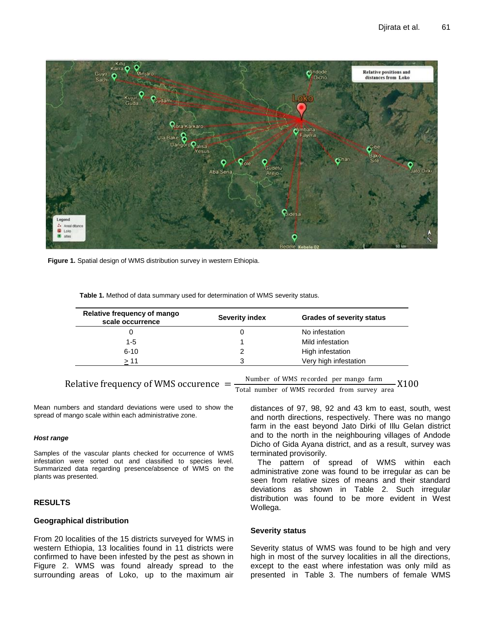

**Figure 1.** Spatial design of WMS distribution survey in western Ethiopia.

| Relative frequency of mango<br>scale occurrence | <b>Severity index</b> | <b>Grades of severity status</b> |  |
|-------------------------------------------------|-----------------------|----------------------------------|--|
|                                                 |                       | No infestation                   |  |
| 1-5                                             |                       | Mild infestation                 |  |
| $6 - 10$                                        |                       | High infestation                 |  |
| >11                                             | 3                     | Very high infestation            |  |

**Table 1.** Method of data summary used for determination of WMS severity status.

Relative frequency of WMS occurence =

Mean numbers and standard deviations were used to show the spread of mango scale within each administrative zone.

#### *Host range*

Samples of the vascular plants checked for occurrence of WMS infestation were sorted out and classified to species level. Summarized data regarding presence/absence of WMS on the plants was presented.

#### **RESULTS**

### **Geographical distribution**

From 20 localities of the 15 districts surveyed for WMS in western Ethiopia, 13 localities found in 11 districts were confirmed to have been infested by the pest as shown in Figure 2. WMS was found already spread to the surrounding areas of Loko, up to the maximum air

Number of WMS recorded per mango farm Total number of WMS recorded from survey area X100

distances of 97, 98, 92 and 43 km to east, south, west and north directions, respectively. There was no mango farm in the east beyond Jato Dirki of Illu Gelan district and to the north in the neighbouring villages of Andode Dicho of Gida Ayana district, and as a result, survey was terminated provisorily.

The pattern of spread of WMS within each administrative zone was found to be irregular as can be seen from relative sizes of means and their standard deviations as shown in Table 2. Such irregular distribution was found to be more evident in West Wollega.

#### **Severity status**

Severity status of WMS was found to be high and very high in most of the survey localities in all the directions, except to the east where infestation was only mild as presented in Table 3. The numbers of female WMS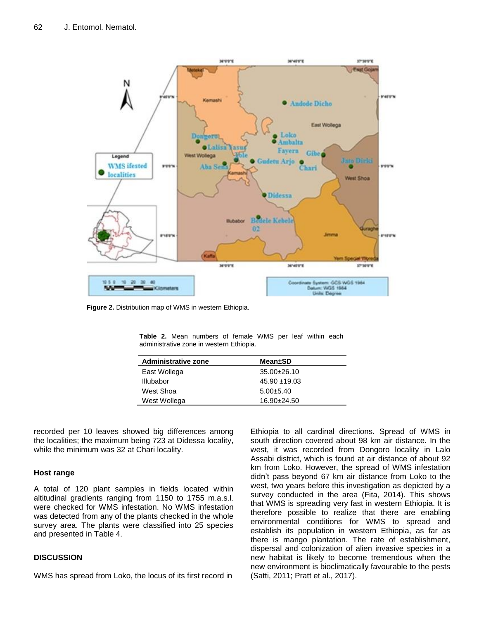

**Figure 2.** Distribution map of WMS in western Ethiopia.

| <b>Administrative zone</b> | <b>Mean±SD</b>    |
|----------------------------|-------------------|
| East Wollega               | $35.00 \pm 26.10$ |
| Illubabor                  | $45.90 + 19.03$   |
| West Shoa                  | $5.00 \pm 5.40$   |
| West Wollega               | 16.90±24.50       |
|                            |                   |

**Table 2.** Mean numbers of female WMS per leaf within each administrative zone in western Ethiopia.

recorded per 10 leaves showed big differences among the localities; the maximum being 723 at Didessa locality, while the minimum was 32 at Chari locality.

## **Host range**

A total of 120 plant samples in fields located within altitudinal gradients ranging from 1150 to 1755 m.a.s.l. were checked for WMS infestation. No WMS infestation was detected from any of the plants checked in the whole survey area. The plants were classified into 25 species and presented in Table 4.

## **DISCUSSION**

WMS has spread from Loko, the locus of its first record in

Ethiopia to all cardinal directions. Spread of WMS in south direction covered about 98 km air distance. In the west, it was recorded from Dongoro locality in Lalo Assabi district, which is found at air distance of about 92 km from Loko. However, the spread of WMS infestation didn't pass beyond 67 km air distance from Loko to the west, two years before this investigation as depicted by a survey conducted in the area (Fita, 2014). This shows that WMS is spreading very fast in western Ethiopia. It is therefore possible to realize that there are enabling environmental conditions for WMS to spread and establish its population in western Ethiopia, as far as there is mango plantation. The rate of establishment, dispersal and colonization of alien invasive species in a new habitat is likely to become tremendous when the new environment is bioclimatically favourable to the pests (Satti, 2011; Pratt et al., 2017).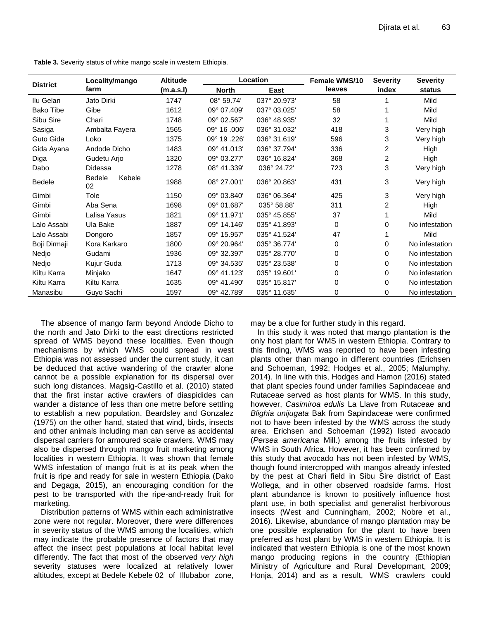| Table 3. Severity status of white mango scale in western Ethiopia. |  |  |  |
|--------------------------------------------------------------------|--|--|--|
|--------------------------------------------------------------------|--|--|--|

| <b>District</b>  | Locality/mango         | <b>Altitude</b> | <b>Location</b> |              | <b>Female WMS/10</b> | <b>Severity</b> | <b>Severity</b> |
|------------------|------------------------|-----------------|-----------------|--------------|----------------------|-----------------|-----------------|
|                  | farm                   | (m.a.s.l)       | <b>North</b>    | East         | leaves               | index           | status          |
| Ilu Gelan        | Jato Dirki             | 1747            | 08° 59.74'      | 037° 20.973' | 58                   |                 | Mild            |
| <b>Bako Tibe</b> | Gibe                   | 1612            | 09° 07.409'     | 037° 03.025' | 58                   |                 | Mild            |
| Sibu Sire        | Chari                  | 1748            | 09° 02.567'     | 036° 48.935' | 32                   |                 | Mild            |
| Sasiga           | Ambalta Fayera         | 1565            | 09° 16.006'     | 036° 31.032' | 418                  | 3               | Very high       |
| Guto Gida        | Loko                   | 1375            | 09° 19.226'     | 036° 31.619' | 596                  | 3               | Very high       |
| Gida Ayana       | Andode Dicho           | 1483            | 09° 41.013'     | 036° 37.794' | 336                  | 2               | High            |
| Diga             | Gudetu Arjo            | 1320            | 09° 03.277'     | 036° 16.824' | 368                  | 2               | High            |
| Dabo             | Didessa                | 1278            | 08° 41.339'     | 036° 24.72'  | 723                  | 3               | Very high       |
| <b>Bedele</b>    | Kebele<br>Bedele<br>02 | 1988            | 08° 27.001'     | 036° 20.863' | 431                  | 3               | Very high       |
| Gimbi            | Tole                   | 1150            | 09° 03.840'     | 036° 06.364' | 425                  | 3               | Very high       |
| Gimbi            | Aba Sena               | 1698            | 09° 01.687'     | 035° 58.88'  | 311                  | $\overline{2}$  | High            |
| Gimbi            | Lalisa Yasus           | 1821            | 09° 11.971'     | 035° 45.855' | 37                   |                 | Mild            |
| Lalo Assabi      | Ula Bake               | 1887            | 09° 14.146'     | 035° 41.893' | 0                    | 0               | No infestation  |
| Lalo Assabi      | Dongoro                | 1857            | 09° 15.957'     | 035° 41.524' | 47                   |                 | Mild            |
| Boji Dirmaji     | Kora Karkaro           | 1800            | 09° 20.964'     | 035° 36.774' | 0                    | 0               | No infestation  |
| Nedjo            | Gudami                 | 1936            | 09° 32.397'     | 035° 28.770' | 0                    | 0               | No infestation  |
| Nedjo            | Kujur Guda             | 1713            | 09° 34.535'     | 035° 23.538' | 0                    | 0               | No infestation  |
| Kiltu Karra      | Minjako                | 1647            | 09° 41.123'     | 035° 19.601' | 0                    | 0               | No infestation  |
| Kiltu Karra      | Kiltu Karra            | 1635            | 09° 41.490'     | 035° 15.817' | 0                    | 0               | No infestation  |
| Manasibu         | Guyo Sachi             | 1597            | 09° 42.789'     | 035° 11.635' | 0                    | 0               | No infestation  |

The absence of mango farm beyond Andode Dicho to the north and Jato Dirki to the east directions restricted spread of WMS beyond these localities. Even though mechanisms by which WMS could spread in west Ethiopia was not assessed under the current study, it can be deduced that active wandering of the crawler alone cannot be a possible explanation for its dispersal over such long distances. Magsig-Castillo et al. (2010) stated that the first instar active crawlers of diaspidides can wander a distance of less than one metre before settling to establish a new population. Beardsley and Gonzalez (1975) on the other hand, stated that wind, birds, insects and other animals including man can serve as accidental dispersal carriers for armoured scale crawlers. WMS may also be dispersed through mango fruit marketing among localities in western Ethiopia. It was shown that female WMS infestation of mango fruit is at its peak when the fruit is ripe and ready for sale in western Ethiopia (Dako and Degaga, 2015), an encouraging condition for the pest to be transported with the ripe-and-ready fruit for marketing.

Distribution patterns of WMS within each administrative zone were not regular. Moreover, there were differences in severity status of the WMS among the localities, which may indicate the probable presence of factors that may affect the insect pest populations at local habitat level differently. The fact that most of the observed *very high* severity statuses were localized at relatively lower altitudes, except at Bedele Kebele 02 of Illubabor zone, may be a clue for further study in this regard.

In this study it was noted that mango plantation is the only host plant for WMS in western Ethiopia. Contrary to this finding, WMS was reported to have been infesting plants other than mango in different countries (Erichsen and Schoeman, 1992; Hodges et al., 2005; Malumphy, 2014). In line with this, Hodges and Hamon (2016) stated that plant species found under families Sapindaceae and Rutaceae served as host plants for WMS. In this study, however, *Casimiroa edulis* La Llave from Rutaceae and *Blighia unijugata* Bak from Sapindaceae were confirmed not to have been infested by the WMS across the study area. Erichsen and Schoeman (1992) listed avocado (*Persea americana* Mill.) among the fruits infested by WMS in South Africa. However, it has been confirmed by this study that avocado has not been infested by WMS, though found intercropped with mangos already infested by the pest at Chari field in Sibu Sire district of East Wollega, and in other observed roadside farms. Host plant abundance is known to positively influence host plant use, in both specialist and generalist herbivorous insects (West and Cunningham, 2002; Nobre et al., 2016). Likewise, abundance of mango plantation may be one possible explanation for the plant to have been preferred as host plant by WMS in western Ethiopia. It is indicated that western Ethiopia is one of the most known mango producing regions in the country (Ethiopian Ministry of Agriculture and Rural Developmant, 2009; Honja, 2014) and as a result, WMS crawlers could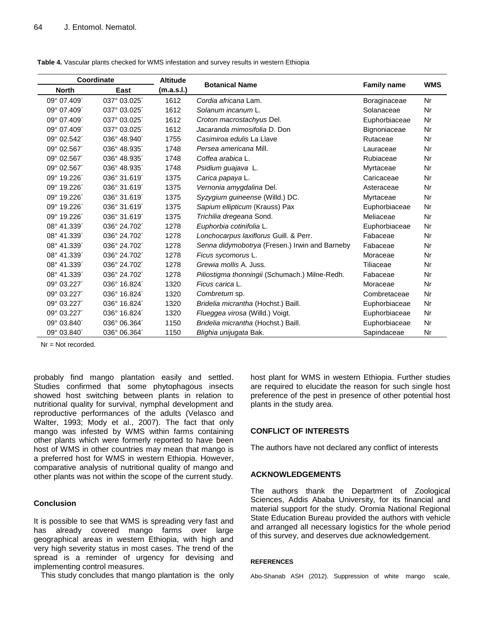| Coordinate   |              | <b>Altitude</b> |                                                |                    | <b>WMS</b> |
|--------------|--------------|-----------------|------------------------------------------------|--------------------|------------|
| <b>North</b> | East         | (m.a.s.l.)      | <b>Botanical Name</b>                          | <b>Family name</b> |            |
| 09° 07.409'  | 037° 03.025' | 1612            | Cordia africana Lam.                           | Boraginaceae       | Nr         |
| 09° 07.409   | 037° 03.025' | 1612            | Solanum incanum L.                             | Solanaceae         | Nr         |
| 09° 07.409'  | 037° 03.025' | 1612            | Croton macrostachyus Del.                      | Euphorbiaceae      | Nr         |
| 09° 07.409'  | 037° 03.025' | 1612            | Jacaranda mimosifolia D. Don                   | Bignoniaceae       | Nr         |
| 09° 02.542'  | 036° 48.940' | 1755            | Casimiroa edulis La Llave                      | Rutaceae           | Nr         |
| 09° 02.567   | 036° 48.935' | 1748            | Persea americana Mill.                         | Lauraceae          | Nr         |
| 09° 02.567   | 036° 48.935' | 1748            | Coffea arabica L.                              | Rubiaceae          | Nr         |
| 09° 02.567   | 036° 48.935  | 1748            | Psidium guajava L.                             | Myrtaceae          | Nr         |
| 09° 19.226'  | 036° 31.619' | 1375            | Carica papaya L.                               | Caricaceae         | Nr         |
| 09° 19.226'  | 036° 31.619  | 1375            | Vernonia amygdalina Del.                       | Asteraceae         | Nr         |
| 09° 19.226'  | 036° 31.619  | 1375            | Syzygium guineense (Willd.) DC.                | Myrtaceae          | Nr         |
| 09° 19.226'  | 036° 31.619' | 1375            | Sapium ellipticum (Krauss) Pax                 | Euphorbiaceae      | Nr         |
| 09° 19.226'  | 036° 31.619  | 1375            | Trichilia dregeana Sond.                       | Meliaceae          | Nr         |
| 08° 41.339'  | 036° 24.702  | 1278            | Euphorbia cotinifolia L.                       | Euphorbiaceae      | Nr         |
| 08° 41.339'  | 036° 24.702  | 1278            | Lonchocarpus laxiflorus Guill. & Perr.         | Fabaceae           | Nr         |
| 08° 41.339'  | 036° 24.702  | 1278            | Senna didymobotrya (Fresen.) Irwin and Barneby | Fabaceae           | Nr         |
| 08° 41.339'  | 036° 24.702  | 1278            | Ficus sycomorus L.                             | Moraceae           | Nr         |
| 08° 41.339   | 036° 24.702  | 1278            | Grewia mollis A. Juss.                         | Tiliaceae          | Nr         |
| 08° 41.339'  | 036° 24.702  | 1278            | Piliostigma thonningii (Schumach.) Milne-Redh. | Fabaceae           | Nr         |
| 09° 03.227'  | 036° 16.824' | 1320            | Ficus carica L.                                | Moraceae           | Nr         |
| 09° 03.227'  | 036° 16.824  | 1320            | Combretum sp.                                  | Combretaceae       | Nr         |
| 09° 03.227'  | 036° 16.824' | 1320            | Bridelia micrantha (Hochst.) Baill.            | Euphorbiaceae      | Nr         |
| 09° 03.227'  | 036° 16.824  | 1320            | Flueggea virosa (Willd.) Voigt.                | Euphorbiaceae      | Nr         |
| 09° 03.840'  | 036° 06.364  | 1150            | Bridelia micrantha (Hochst.) Baill.            | Euphorbiaceae      | Nr         |
| 09° 03.840   | 036° 06.364  | 1150            | Blighia unijugata Bak.                         | Sapindaceae        | Nr         |

**Table 4.** Vascular plants checked for WMS infestation and survey results in western Ethiopia

Nr = Not recorded.

probably find mango plantation easily and settled. Studies confirmed that some phytophagous insects showed host switching between plants in relation to nutritional quality for survival, nymphal development and reproductive performances of the adults (Velasco and Walter, 1993; Mody et al., 2007). The fact that only mango was infested by WMS within farms containing other plants which were formerly reported to have been host of WMS in other countries may mean that mango is a preferred host for WMS in western Ethiopia. However, comparative analysis of nutritional quality of mango and other plants was not within the scope of the current study.

## **Conclusion**

It is possible to see that WMS is spreading very fast and has already covered mango farms over large geographical areas in western Ethiopia, with high and very high severity status in most cases. The trend of the spread is a reminder of urgency for devising and implementing control measures.

This study concludes that mango plantation is the only

host plant for WMS in western Ethiopia. Further studies are required to elucidate the reason for such single host preference of the pest in presence of other potential host plants in the study area.

# **CONFLICT OF INTERESTS**

The authors have not declared any conflict of interests

## **ACKNOWLEDGEMENTS**

The authors thank the Department of Zoological Sciences, Addis Ababa University, for its financial and material support for the study. Oromia National Regional State Education Bureau provided the authors with vehicle and arranged all necessary logistics for the whole period of this survey, and deserves due acknowledgement.

#### **REFERENCES**

Abo-Shanab ASH (2012). Suppression of white mango scale,